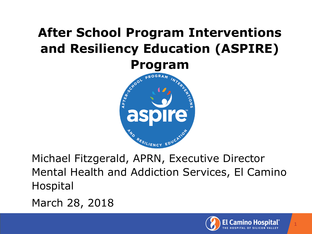# **After School Program Interventions and Resiliency Education (ASPIRE)**



Michael Fitzgerald, APRN, Executive Director Mental Health and Addiction Services, El Camino Hospital

March 28, 2018

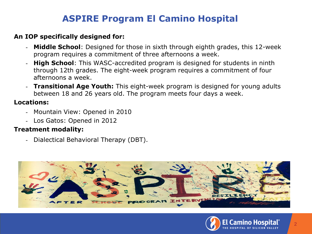### **ASPIRE Program El Camino Hospital**

#### **An IOP specifically designed for:**

- **Middle School**: Designed for those in sixth through eighth grades, this 12-week program requires a commitment of three afternoons a week.
- **High School**: This WASC-accredited program is designed for students in ninth through 12th grades. The eight-week program requires a commitment of four afternoons a week.
- **Transitional Age Youth:** This eight-week program is designed for young adults between 18 and 26 years old. The program meets four days a week.

### **Locations:**

- Mountain View: Opened in 2010
- Los Gatos: Opened in 2012

#### **Treatment modality:**

- Dialectical Behavioral Therapy (DBT).



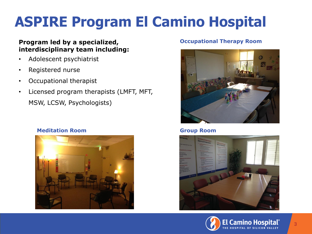# **ASPIRE Program El Camino Hospital**

#### **Program led by a specialized, and a specialized of the specialized of the Program Therapy Room interdisciplinary team including:**

- Adolescent psychiatrist
- Registered nurse
- Occupational therapist
- Licensed program therapists (LMFT, MFT, MSW, LCSW, Psychologists)







#### **Group Room**